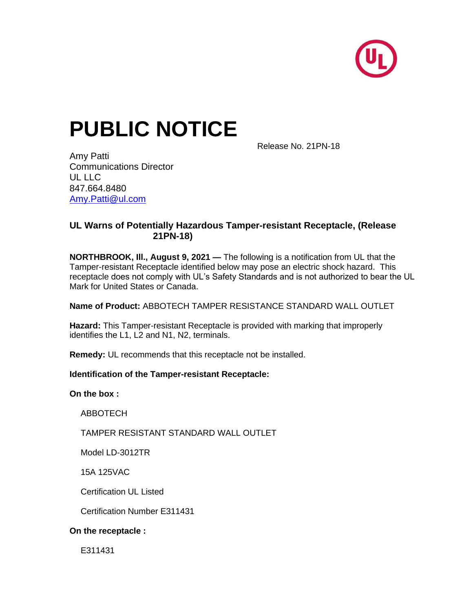

# **PUBLIC NOTICE**

Release No. 21PN-18

Amy Patti Communications Director UL LLC 847.664.8480 [Amy.Patti@ul.com](mailto:Amy.Patti@ul.com)

## **UL Warns of Potentially Hazardous Tamper-resistant Receptacle, (Release 21PN-18)**

**NORTHBROOK, Ill., August 9, 2021 —** The following is a notification from UL that the Tamper-resistant Receptacle identified below may pose an electric shock hazard. This receptacle does not comply with UL's Safety Standards and is not authorized to bear the UL Mark for United States or Canada.

**Name of Product:** ABBOTECH TAMPER RESISTANCE STANDARD WALL OUTLET

**Hazard:** This Tamper-resistant Receptacle is provided with marking that improperly identifies the L1, L2 and N1, N2, terminals.

**Remedy:** UL recommends that this receptacle not be installed.

#### **Identification of the Tamper-resistant Receptacle:**

**On the box :** 

ABBOTECH

TAMPER RESISTANT STANDARD WALL OUTLET

Model LD-3012TR

15A 125VAC

Certification UL Listed

Certification Number E311431

#### **On the receptacle :**

E311431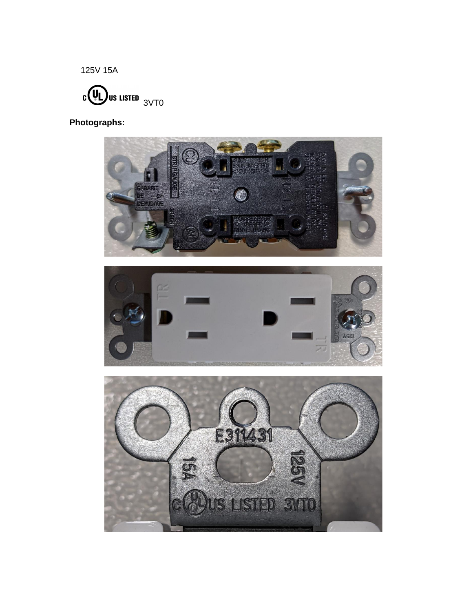125V 15A



**Photographs:**

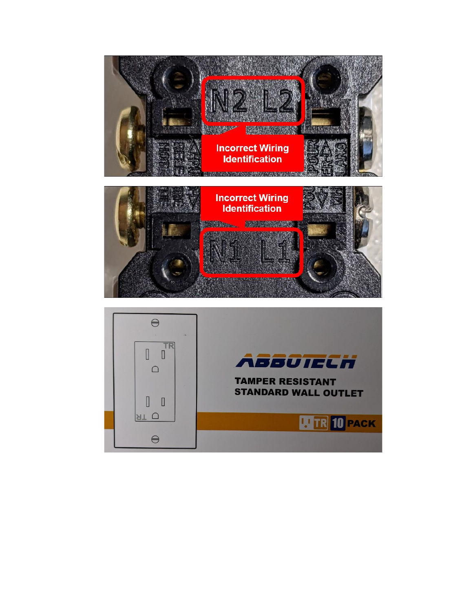